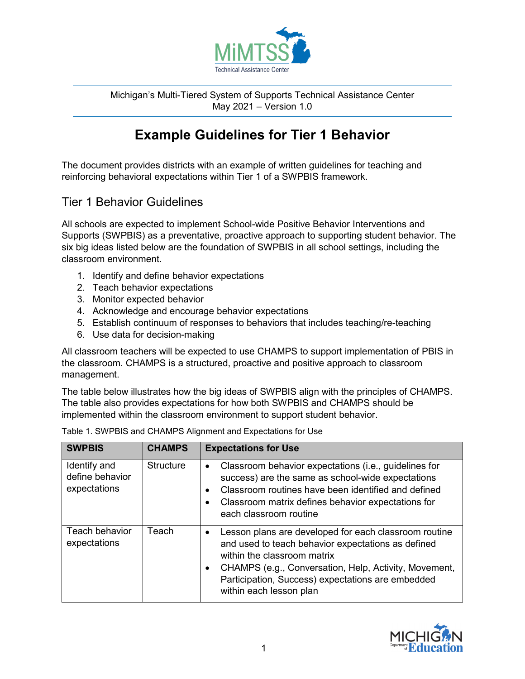

Michigan's Multi-Tiered System of Supports Technical Assistance Center May 2021 – Version 1.0

## **Example Guidelines for Tier 1 Behavior**

The document provides districts with an example of written guidelines for teaching and reinforcing behavioral expectations within Tier 1 of a SWPBIS framework.

## Tier 1 Behavior Guidelines

All schools are expected to implement School-wide Positive Behavior Interventions and Supports (SWPBIS) as a preventative, proactive approach to supporting student behavior. The six big ideas listed below are the foundation of SWPBIS in all school settings, including the classroom environment.

- 1. Identify and define behavior expectations
- 2. Teach behavior expectations
- 3. Monitor expected behavior
- 4. Acknowledge and encourage behavior expectations
- 5. Establish continuum of responses to behaviors that includes teaching/re-teaching
- 6. Use data for decision-making

All classroom teachers will be expected to use CHAMPS to support implementation of PBIS in the classroom. CHAMPS is a structured, proactive and positive approach to classroom management.

The table below illustrates how the big ideas of SWPBIS align with the principles of CHAMPS. The table also provides expectations for how both SWPBIS and CHAMPS should be implemented within the classroom environment to support student behavior.

| <b>SWPBIS</b>                                   | <b>CHAMPS</b>    | <b>Expectations for Use</b>                                                                                                                                                                                                                                                                                   |
|-------------------------------------------------|------------------|---------------------------------------------------------------------------------------------------------------------------------------------------------------------------------------------------------------------------------------------------------------------------------------------------------------|
| Identify and<br>define behavior<br>expectations | <b>Structure</b> | Classroom behavior expectations (i.e., guidelines for<br>$\bullet$<br>success) are the same as school-wide expectations<br>Classroom routines have been identified and defined<br>Classroom matrix defines behavior expectations for<br>٠<br>each classroom routine                                           |
| Teach behavior<br>expectations                  | Teach            | Lesson plans are developed for each classroom routine<br>$\bullet$<br>and used to teach behavior expectations as defined<br>within the classroom matrix<br>CHAMPS (e.g., Conversation, Help, Activity, Movement,<br>$\bullet$<br>Participation, Success) expectations are embedded<br>within each lesson plan |

Table 1. SWPBIS and CHAMPS Alignment and Expectations for Use